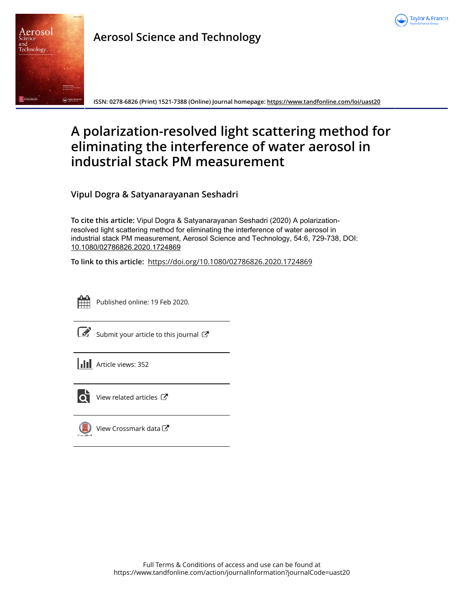



# **Aerosol Science and Technology**

**ISSN: 0278-6826 (Print) 1521-7388 (Online) Journal homepage: https://www.tandfonline.com/loi/uast20**

# **A polarization-resolved light scattering method for eliminating the interference of water aerosol in industrial stack PM measurement**

**Vipul Dogra & Satyanarayanan Seshadri**

**To cite this article:** Vipul Dogra & Satyanarayanan Seshadri (2020) A polarizationresolved light scattering method for eliminating the interference of water aerosol in industrial stack PM measurement, Aerosol Science and Technology, 54:6, 729-738, DOI: 10.1080/02786826.2020.1724869

**To link to this article:** https://doi.org/10.1080/02786826.2020.1724869



Published online: 19 Feb 2020.

 $\overline{\mathcal{L}}$  Submit your article to this journal  $\overline{\mathcal{L}}$ 





 $\overline{Q}$  View related articles  $\overline{C}$ 



 $\left(\begin{matrix} \blacksquare \\ \blacksquare \end{matrix}\right)$  View Crossmark data  $\mathbb{Z}$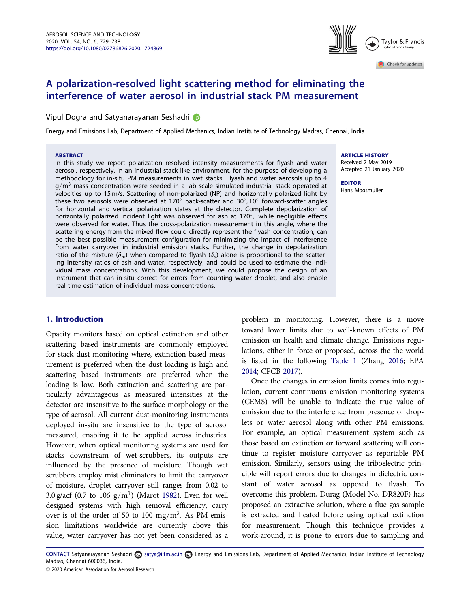# A polarization-resolved light scattering method for eliminating the interference of water aerosol in industrial stack PM measurement

Vipul Dogra and Satyanarayanan Seshadri D

Energy and Emissions Lab, Department of Applied Mechanics, Indian Institute of Technology Madras, Chennai, India

#### **ABSTRACT**

In this study we report polarization resolved intensity measurements for flyash and water aerosol, respectively, in an industrial stack like environment, for the purpose of developing a methodology for in-situ PM measurements in wet stacks. Flyash and water aerosols up to 4  $g/m<sup>3</sup>$  mass concentration were seeded in a lab scale simulated industrial stack operated at velocities up to 15 m/s. Scattering of non-polarized (NP) and horizontally polarized light by these two aerosols were observed at 170 $^{\circ}$  back-scatter and 30 $^{\circ}$ ,10 $^{\circ}$  forward-scatter angles for horizontal and vertical polarization states at the detector. Complete depolarization of horizontally polarized incident light was observed for ash at 170°, while negligible effects were observed for water. Thus the cross-polarization measurement in this angle, where the scattering energy from the mixed flow could directly represent the flyash concentration, can be the best possible measurement configuration for minimizing the impact of interference from water carryover in industrial emission stacks. Further, the change in depolarization ratio of the mixture  $(\delta_m)$  when compared to flyash  $(\delta_a)$  alone is proportional to the scattering intensity ratios of ash and water, respectively, and could be used to estimate the individual mass concentrations. With this development, we could propose the design of an instrument that can in-situ correct for errors from counting water droplet, and also enable real time estimation of individual mass concentrations.

# 1. Introduction

Opacity monitors based on optical extinction and other scattering based instruments are commonly employed for stack dust monitoring where, extinction based measurement is preferred when the dust loading is high and scattering based instruments are preferred when the loading is low. Both extinction and scattering are particularly advantageous as measured intensities at the detector are insensitive to the surface morphology or the type of aerosol. All current dust-monitoring instruments deployed in-situ are insensitive to the type of aerosol measured, enabling it to be applied across industries. However, when optical monitoring systems are used for stacks downstream of wet-scrubbers, its outputs are influenced by the presence of moisture. Though wet scrubbers employ mist eliminators to limit the carryover of moisture, droplet carryover still ranges from 0.02 to 3.0 g/acf (0.7 to 106  $g/m<sup>3</sup>$ ) (Marot 1982). Even for well designed systems with high removal efficiency, carry over is of the order of 50 to 100 mg/m<sup>3</sup>. As PM emission limitations worldwide are currently above this value, water carryover has not yet been considered as a

ARTICLE HISTORY

Received 2 May 2019 Accepted 21 January 2020

#### EDITOR Hans Moosmüller

problem in monitoring. However, there is a move toward lower limits due to well-known effects of PM emission on health and climate change. Emissions regulations, either in force or proposed, across the the world is listed in the following Table 1 (Zhang 2016; EPA 2014; CPCB 2017).

Once the changes in emission limits comes into regulation, current continuous emission monitoring systems (CEMS) will be unable to indicate the true value of emission due to the interference from presence of droplets or water aerosol along with other PM emissions. For example, an optical measurement system such as those based on extinction or forward scattering will continue to register moisture carryover as reportable PM emission. Similarly, sensors using the triboelectric principle will report errors due to changes in dielectric constant of water aerosol as opposed to flyash. To overcome this problem, Durag (Model No. DR820F) has proposed an extractive solution, where a flue gas sample is extracted and heated before using optical extinction for measurement. Though this technique provides a work-around, it is prone to errors due to sampling and

CONTACT Satyanarayanan Seshadri a satya@iitm.ac.in **En** Energy and Emissions Lab, Department of Applied Mechanics, Indian Institute of Technology Madras, Chennai 600036, India.



Check for updates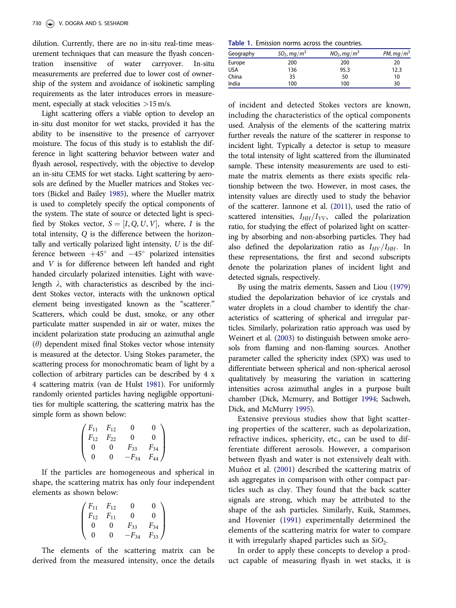dilution. Currently, there are no in-situ real-time measurement techniques that can measure the flyash concentration insensitive of water carryover. In-situ measurements are preferred due to lower cost of ownership of the system and avoidance of isokinetic sampling requirements as the later introduces errors in measurement, especially at stack velocities >15 m/s.

Light scattering offers a viable option to develop an in-situ dust monitor for wet stacks, provided it has the ability to be insensitive to the presence of carryover moisture. The focus of this study is to establish the difference in light scattering behavior between water and flyash aerosol, respectively, with the objective to develop an in-situ CEMS for wet stacks. Light scattering by aerosols are defined by the Mueller matrices and Stokes vectors (Bickel and Bailey 1985), where the Mueller matrix is used to completely specify the optical components of the system. The state of source or detected light is specified by Stokes vector,  $S = [I, Q, U, V]$ , where, I is the total intensity, Q is the difference between the horizontally and vertically polarized light intensity, U is the difference between  $+45^{\circ}$  and  $-45^{\circ}$  polarized intensities and V is for difference between left handed and right handed circularly polarized intensities. Light with wavelength  $\lambda$ , with characteristics as described by the incident Stokes vector, interacts with the unknown optical element being investigated known as the "scatterer." Scatterers, which could be dust, smoke, or any other particulate matter suspended in air or water, mixes the incident polarization state producing an azimuthal angle  $(\theta)$  dependent mixed final Stokes vector whose intensity is measured at the detector. Using Stokes parameter, the scattering process for monochromatic beam of light by a collection of arbitrary particles can be described by 4 x 4 scattering matrix (van de Hulst 1981). For uniformly randomly oriented particles having negligible opportunities for multiple scattering, the scattering matrix has the simple form as shown below:

$$
\begin{pmatrix}\nF_{11} & F_{12} & 0 & 0 \\
F_{12} & F_{22} & 0 & 0 \\
0 & 0 & F_{33} & F_{34} \\
0 & 0 & -F_{34} & F_{44}\n\end{pmatrix}
$$

If the particles are homogeneous and spherical in shape, the scattering matrix has only four independent elements as shown below:

$$
\begin{pmatrix}\nF_{11} & F_{12} & 0 & 0 \\
F_{12} & F_{11} & 0 & 0 \\
0 & 0 & F_{33} & F_{34} \\
0 & 0 & -F_{34} & F_{33}\n\end{pmatrix}
$$

The elements of the scattering matrix can be derived from the measured intensity, once the details

Table 1. Emission norms across the countries.

| Geography  | $SO_2$ , mg/m <sup>3</sup> | $NO2$ , mg/m <sup>3</sup> | PM, $mq/m^3$ |
|------------|----------------------------|---------------------------|--------------|
| Europe     | 200                        | 200                       | 20           |
| <b>USA</b> | 136                        | 95.3                      | 12.3         |
| China      | 35                         | 50                        | 10           |
| India      | 100                        | 100                       | 30           |

of incident and detected Stokes vectors are known, including the characteristics of the optical components used. Analysis of the elements of the scattering matrix further reveals the nature of the scatterer in response to incident light. Typically a detector is setup to measure the total intensity of light scattered from the illuminated sample. These intensity measurements are used to estimate the matrix elements as there exists specific relationship between the two. However, in most cases, the intensity values are directly used to study the behavior of the scatterer. Iannone et al. (2011), used the ratio of scattered intensities,  $I_{HH}/I_{VV}$ , called the polarization ratio, for studying the effect of polarized light on scattering by absorbing and non-absorbing particles. They had also defined the depolarization ratio as  $I_{HV}/I_{HH}$ . In these representations, the first and second subscripts denote the polarization planes of incident light and detected signals, respectively.

By using the matrix elements, Sassen and Liou (1979) studied the depolarization behavior of ice crystals and water droplets in a cloud chamber to identify the characteristics of scattering of spherical and irregular particles. Similarly, polarization ratio approach was used by Weinert et al. (2003) to distinguish between smoke aerosols from flaming and non-flaming sources. Another parameter called the sphericity index (SPX) was used to differentiate between spherical and non-spherical aerosol qualitatively by measuring the variation in scattering intensities across azimuthal angles in a purpose built chamber (Dick, Mcmurry, and Bottiger 1994; Sachweh, Dick, and McMurry 1995).

Extensive previous studies show that light scattering properties of the scatterer, such as depolarization, refractive indices, sphericity, etc., can be used to differentiate different aerosols. However, a comparison between flyash and water is not extensively dealt with. Muñoz et al. (2001) described the scattering matrix of ash aggregates in comparison with other compact particles such as clay. They found that the back scatter signals are strong, which may be attributed to the shape of the ash particles. Similarly, Kuik, Stammes, and Hovenier (1991) experimentally determined the elements of the scattering matrix for water to compare it with irregularly shaped particles such as  ${\rm SiO_2}.$ 

In order to apply these concepts to develop a product capable of measuring flyash in wet stacks, it is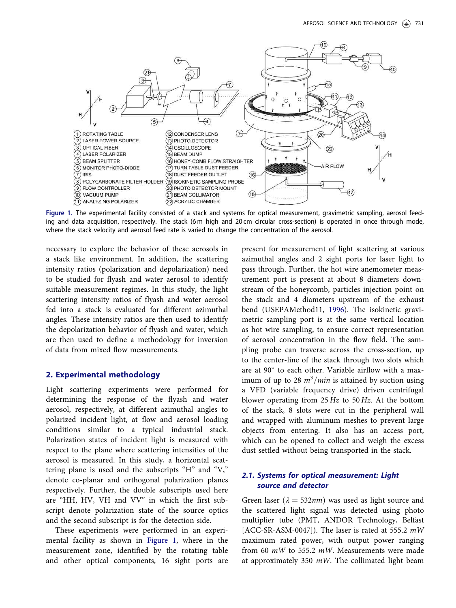

Figure 1. The experimental facility consisted of a stack and systems for optical measurement, gravimetric sampling, aerosol feeding and data acquisition, respectively. The stack (6 m high and 20 cm circular cross-section) is operated in once through mode, where the stack velocity and aerosol feed rate is varied to change the concentration of the aerosol.

necessary to explore the behavior of these aerosols in a stack like environment. In addition, the scattering intensity ratios (polarization and depolarization) need to be studied for flyash and water aerosol to identify suitable measurement regimes. In this study, the light scattering intensity ratios of flyash and water aerosol fed into a stack is evaluated for different azimuthal angles. These intensity ratios are then used to identify the depolarization behavior of flyash and water, which are then used to define a methodology for inversion of data from mixed flow measurements.

#### 2. Experimental methodology

Light scattering experiments were performed for determining the response of the flyash and water aerosol, respectively, at different azimuthal angles to polarized incident light, at flow and aerosol loading conditions similar to a typical industrial stack. Polarization states of incident light is measured with respect to the plane where scattering intensities of the aerosol is measured. In this study, a horizontal scattering plane is used and the subscripts "H" and "V," denote co-planar and orthogonal polarization planes respectively. Further, the double subscripts used here are "HH, HV, VH and VV" in which the first subscript denote polarization state of the source optics and the second subscript is for the detection side.

These experiments were performed in an experimental facility as shown in Figure 1, where in the measurement zone, identified by the rotating table and other optical components, 16 sight ports are

present for measurement of light scattering at various azimuthal angles and 2 sight ports for laser light to pass through. Further, the hot wire anemometer measurement port is present at about 8 diameters downstream of the honeycomb, particles injection point on the stack and 4 diameters upstream of the exhaust bend (USEPAMethod11, 1996). The isokinetic gravimetric sampling port is at the same vertical location as hot wire sampling, to ensure correct representation of aerosol concentration in the flow field. The sampling probe can traverse across the cross-section, up to the center-line of the stack through two slots which are at 90° to each other. Variable airflow with a maximum of up to 28  $m^3/min$  is attained by suction using a VFD (variable frequency drive) driven centrifugal blower operating from 25 Hz to 50 Hz. At the bottom of the stack, 8 slots were cut in the peripheral wall and wrapped with aluminum meshes to prevent large objects from entering. It also has an access port, which can be opened to collect and weigh the excess dust settled without being transported in the stack.

# *2.1. Systems for optical measurement: Light source and detector*

Green laser ( $\lambda = 532nm$ ) was used as light source and the scattered light signal was detected using photo multiplier tube (PMT, ANDOR Technology, Belfast [ACC-SR-ASM-0047]). The laser is rated at 555.2  $mW$ maximum rated power, with output power ranging from 60  $mW$  to 555.2  $mW$ . Measurements were made at approximately 350  $mW$ . The collimated light beam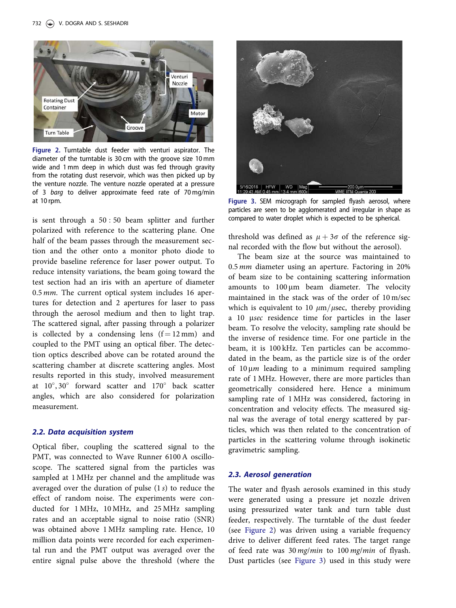

Figure 2. Turntable dust feeder with venturi aspirator. The diameter of the turntable is 30 cm with the groove size 10 mm wide and 1 mm deep in which dust was fed through gravity from the rotating dust reservoir, which was then picked up by the venture nozzle. The venture nozzle operated at a pressure of 3 barg to deliver approximate feed rate of 70 mg/min at 10 rpm. The sampled flyash as exampled flyash aerosol, where  $\frac{1}{2}$  Figure 3. SEM micrograph for sampled flyash aerosol, where

is sent through a 50 : 50 beam splitter and further polarized with reference to the scattering plane. One half of the beam passes through the measurement section and the other onto a monitor photo diode to provide baseline reference for laser power output. To reduce intensity variations, the beam going toward the test section had an iris with an aperture of diameter 0.5 mm. The current optical system includes 16 apertures for detection and 2 apertures for laser to pass through the aerosol medium and then to light trap. The scattered signal, after passing through a polarizer is collected by a condensing lens  $(f = 12 \text{ mm})$  and coupled to the PMT using an optical fiber. The detection optics described above can be rotated around the scattering chamber at discrete scattering angles. Most results reported in this study, involved measurement at  $10^{\circ}$ ,  $30^{\circ}$  forward scatter and  $170^{\circ}$  back scatter angles, which are also considered for polarization measurement.

#### *2.2. Data acquisition system*

Optical fiber, coupling the scattered signal to the PMT, was connected to Wave Runner 6100 A oscilloscope. The scattered signal from the particles was sampled at 1 MHz per channel and the amplitude was averaged over the duration of pulse (1 s) to reduce the effect of random noise. The experiments were conducted for 1 MHz, 10 MHz, and 25 MHz sampling rates and an acceptable signal to noise ratio (SNR) was obtained above 1 MHz sampling rate. Hence, 10 million data points were recorded for each experimental run and the PMT output was averaged over the entire signal pulse above the threshold (where the



particles are seen to be agglomerated and irregular in shape as compared to water droplet which is expected to be spherical.

threshold was defined as  $\mu + 3\sigma$  of the reference signal recorded with the flow but without the aerosol).

The beam size at the source was maintained to 0.5 mm diameter using an aperture. Factoring in 20% of beam size to be containing scattering information amounts to  $100 \mu m$  beam diameter. The velocity maintained in the stack was of the order of 10 m/sec which is equivalent to 10  $\mu$ m/ $\mu$ sec, thereby providing a 10 msec residence time for particles in the laser beam. To resolve the velocity, sampling rate should be the inverse of residence time. For one particle in the beam, it is 100 kHz. Ten particles can be accommodated in the beam, as the particle size is of the order of 10  $\mu$ m leading to a minimum required sampling rate of 1 MHz. However, there are more particles than geometrically considered here. Hence a minimum sampling rate of 1 MHz was considered, factoring in concentration and velocity effects. The measured signal was the average of total energy scattered by particles, which was then related to the concentration of particles in the scattering volume through isokinetic gravimetric sampling.

#### *2.3. Aerosol generation*

The water and flyash aerosols examined in this study were generated using a pressure jet nozzle driven using pressurized water tank and turn table dust feeder, respectively. The turntable of the dust feeder (see Figure 2) was driven using a variable frequency drive to deliver different feed rates. The target range of feed rate was 30 mg/min to 100 mg/min of flyash. Dust particles (see Figure 3) used in this study were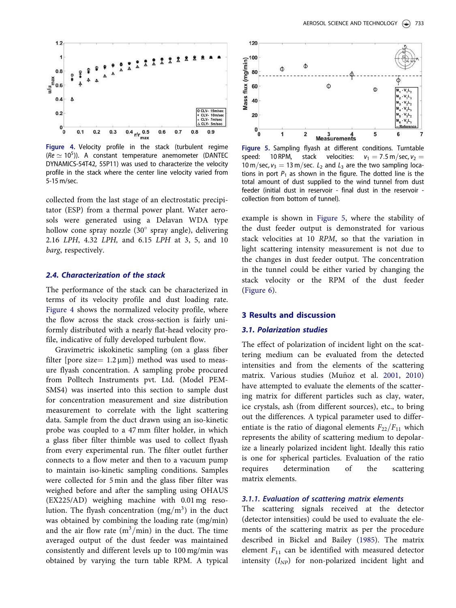

Figure 4. Velocity profile in the stack (turbulent regime ( $Re \simeq 10^5$ )). A constant temperature anemometer (DANTEC DYNAMICS-54T42, 55P11) was used to characterize the velocity profile in the stack where the center line velocity varied from 5-15 m/sec.

collected from the last stage of an electrostatic precipitator (ESP) from a thermal power plant. Water aerosols were generated using a Delavan WDA type hollow cone spray nozzle (30° spray angle), delivering 2.16 LPH, 4.32 LPH, and 6.15 LPH at 3, 5, and 10 barg, respectively.

### *2.4. Characterization of the stack*

The performance of the stack can be characterized in terms of its velocity profile and dust loading rate. Figure 4 shows the normalized velocity profile, where the flow across the stack cross-section is fairly uniformly distributed with a nearly flat-head velocity profile, indicative of fully developed turbulent flow.

Gravimetric iskokinetic sampling (on a glass fiber filter [pore size =  $1.2 \mu$ m]) method was used to measure flyash concentration. A sampling probe procured from Polltech Instruments pvt. Ltd. (Model PEM-SMS4) was inserted into this section to sample dust for concentration measurement and size distribution measurement to correlate with the light scattering data. Sample from the duct drawn using an iso-kinetic probe was coupled to a 47 mm filter holder, in which a glass fiber filter thimble was used to collect flyash from every experimental run. The filter outlet further connects to a flow meter and then to a vacuum pump to maintain iso-kinetic sampling conditions. Samples were collected for 5 min and the glass fiber filter was weighed before and after the sampling using OHAUS (EX225/AD) weighing machine with 0.01 mg resolution. The flyash concentration  $(mg/m^3)$  in the duct was obtained by combining the loading rate (mg/min) and the air flow rate  $(m^3/min)$  in the duct. The time averaged output of the dust feeder was maintained consistently and different levels up to 100 mg/min was obtained by varying the turn table RPM. A typical



Figure 5. Sampling flyash at different conditions. Turntable speed: 10 RPM, stack velocities:  $v_1 = 7.5$  m/sec,  $v_2 =$ 10 m/sec,  $v_3 = 13$  m/sec.  $L_2$  and  $L_3$  are the two sampling locations in port  $P_1$  as shown in the figure. The dotted line is the total amount of dust supplied to the wind tunnel from dust feeder (initial dust in reservoir - final dust in the reservoir collection from bottom of tunnel).

example is shown in Figure 5, where the stability of the dust feeder output is demonstrated for various stack velocities at 10 RPM, so that the variation in light scattering intensity measurement is not due to the changes in dust feeder output. The concentration in the tunnel could be either varied by changing the stack velocity or the RPM of the dust feeder (Figure 6).

#### 3 Results and discussion

# *3.1. Polarization studies*

The effect of polarization of incident light on the scattering medium can be evaluated from the detected intensities and from the elements of the scattering matrix. Various studies (Muñoz et al. 2001, 2010) have attempted to evaluate the elements of the scattering matrix for different particles such as clay, water, ice crystals, ash (from different sources), etc., to bring out the differences. A typical parameter used to differentiate is the ratio of diagonal elements  $F_{22}/F_{11}$  which represents the ability of scattering medium to depolarize a linearly polarized incident light. Ideally this ratio is one for spherical particles. Evaluation of the ratio requires determination of the scattering matrix elements.

#### 3.1.1. Evaluation of scattering matrix elements

The scattering signals received at the detector (detector intensities) could be used to evaluate the elements of the scattering matrix as per the procedure described in Bickel and Bailey (1985). The matrix element  $F_{11}$  can be identified with measured detector intensity  $(I_{NP})$  for non-polarized incident light and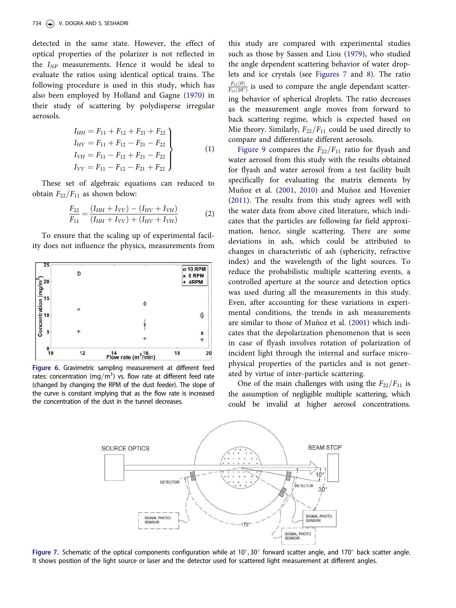detected in the same state. However, the effect of optical properties of the polarizer is not reflected in the  $I_{NP}$  measurements. Hence it would be ideal to evaluate the ratios using identical optical trains. The following procedure is used in this study, which has also been employed by Holland and Gagne (1970) in their study of scattering by polydisperse irregular aerosols.

$$
I_{HH} = F_{11} + F_{12} + F_{21} + F_{22}
$$
  
\n
$$
I_{HV} = F_{11} + F_{12} - F_{21} - F_{22}
$$
  
\n
$$
I_{VH} = F_{11} - F_{12} + F_{21} - F_{22}
$$
  
\n
$$
I_{VV} = F_{11} - F_{12} - F_{21} + F_{22}
$$
\n(1)

These set of algebraic equations can reduced to obtain  $F_{22}/F_{11}$  as shown below:

$$
\frac{F_{22}}{F_{11}} = \frac{(I_{HH} + I_{VV}) - (I_{HV} + I_{VH})}{(I_{HH} + I_{VV}) + (I_{HV} + I_{VH})}
$$
(2)

To ensure that the scaling up of experimental facility does not influence the physics, measurements from



Figure 6. Gravimetric sampling measurement at different feed rates: concentration (mg/m<sup>3</sup>) vs. flow rate at different feed rate (changed by changing the RPM of the dust feeder). The slope of the curve is constant implying that as the flow rate is increased the concentration of the dust in the tunnel decreases.

this study are compared with experimental studies such as those by Sassen and Liou (1979), who studied the angle dependent scattering behavior of water droplets and ice crystals (see Figures 7 and 8). The ratio  $\frac{F_{11}(\theta)}{F_{11}(10^{\circ})}$  is used to compare the angle dependant scattering behavior of spherical droplets. The ratio decreases as the measurement angle moves from forward to back scattering regime, which is expected based on Mie theory. Similarly,  $F_{22}/F_{11}$  could be used directly to compare and differentiate different aerosols.

Figure 9 compares the  $F_{22}/F_{11}$  ratio for flyash and water aerosol from this study with the results obtained for flyash and water aerosol from a test facility built specifically for evaluating the matrix elements by Muñoz et al.  $(2001, 2010)$  and Muñoz and Hovenier (2011). The results from this study agrees well with the water data from above cited literature, which indicates that the particles are following far field approximation, hence, single scattering. There are some deviations in ash, which could be attributed to changes in characteristic of ash (sphericity, refractive index) and the wavelength of the light sources. To reduce the probabilistic multiple scattering events, a controlled aperture at the source and detection optics was used during all the measurements in this study. Even, after accounting for these variations in experimental conditions, the trends in ash measurements are similar to those of Muñoz et al. (2001) which indicates that the depolarization phenomenon that is seen in case of flyash involves rotation of polarization of incident light through the internal and surface microphysical properties of the particles and is not generated by virtue of inter-particle scattering.

One of the main challenges with using the  $F_{22}/F_{11}$  is the assumption of negligible multiple scattering, which could be invalid at higher aerosol concentrations.



Figure 7. Schematic of the optical components configuration while at  $10^{\circ}$ , 30 $^{\circ}$  forward scatter angle, and 170 $^{\circ}$  back scatter angle. It shows position of the light source or laser and the detector used for scattered light measurement at different angles.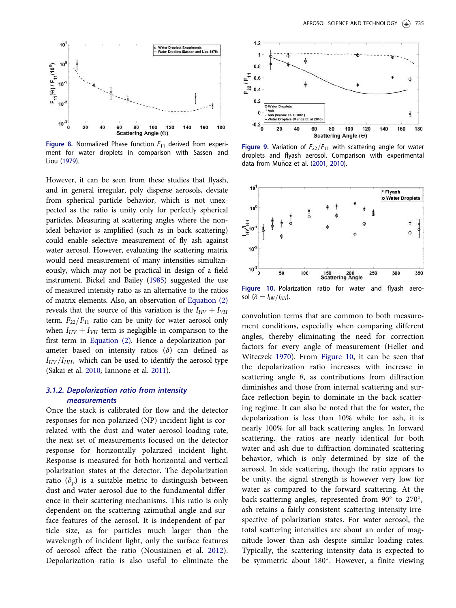

Figure 8. Normalized Phase function  $F_{11}$  derived from experiment for water droplets in comparison with Sassen and Liou (1979).

However, it can be seen from these studies that flyash, and in general irregular, poly disperse aerosols, deviate from spherical particle behavior, which is not unexpected as the ratio is unity only for perfectly spherical particles. Measuring at scattering angles where the nonideal behavior is amplified (such as in back scattering) could enable selective measurement of fly ash against water aerosol. However, evaluating the scattering matrix would need measurement of many intensities simultaneously, which may not be practical in design of a field instrument. Bickel and Bailey (1985) suggested the use of measured intensity ratio as an alternative to the ratios of matrix elements. Also, an observation of Equation (2) reveals that the source of this variation is the  $I_{HV} + I_{VH}$ term.  $F_{22}/F_{11}$  ratio can be unity for water aerosol only when  $I_{HV} + I_{VH}$  term is negligible in comparison to the first term in Equation (2). Hence a depolarization parameter based on intensity ratios  $(\delta)$  can defined as  $I_{HV}/I_{HH}$ , which can be used to identify the aerosol type (Sakai et al. 2010; Iannone et al. 2011).

# 3.1.2. Depolarization ratio from intensity measurements

Once the stack is calibrated for flow and the detector responses for non-polarized (NP) incident light is correlated with the dust and water aerosol loading rate, the next set of measurements focused on the detector response for horizontally polarized incident light. Response is measured for both horizontal and vertical polarization states at the detector. The depolarization ratio  $(\delta_p)$  is a suitable metric to distinguish between dust and water aerosol due to the fundamental difference in their scattering mechanisms. This ratio is only dependent on the scattering azimuthal angle and surface features of the aerosol. It is independent of particle size, as for particles much larger than the wavelength of incident light, only the surface features of aerosol affect the ratio (Nousiainen et al. 2012). Depolarization ratio is also useful to eliminate the



Figure 9. Variation of  $F_{22}/F_{11}$  with scattering angle for water droplets and flyash aerosol. Comparison with experimental data from Muñoz et al. (2001, 2010).



Figure 10. Polarization ratio for water and flyash aerosol ( $\delta=I_{HV}/I_{HH}$ ).

convolution terms that are common to both measurement conditions, especially when comparing different angles, thereby eliminating the need for correction factors for every angle of measurement (Heller and Witeczek 1970). From Figure 10, it can be seen that the depolarization ratio increases with increase in scattering angle  $\theta$ , as contributions from diffraction diminishes and those from internal scattering and surface reflection begin to dominate in the back scattering regime. It can also be noted that the for water, the depolarization is less than 10% while for ash, it is nearly 100% for all back scattering angles. In forward scattering, the ratios are nearly identical for both water and ash due to diffraction dominated scattering behavior, which is only determined by size of the aerosol. In side scattering, though the ratio appears to be unity, the signal strength is however very low for water as compared to the forward scattering. At the back-scattering angles, represented from 90° to 270°, ash retains a fairly consistent scattering intensity irrespective of polarization states. For water aerosol, the total scattering intensities are about an order of magnitude lower than ash despite similar loading rates. Typically, the scattering intensity data is expected to be symmetric about 180°. However, a finite viewing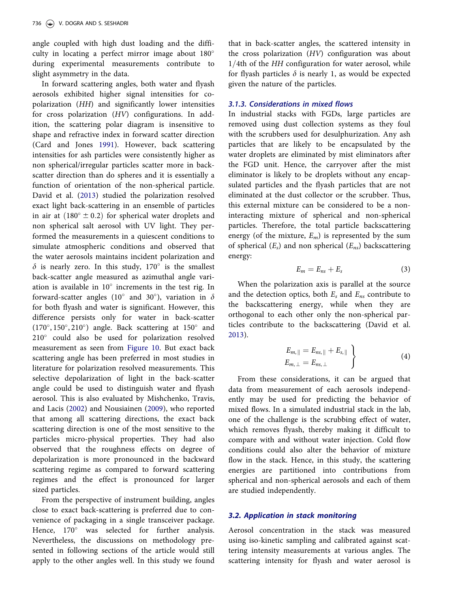angle coupled with high dust loading and the difficulty in locating a perfect mirror image about 180 during experimental measurements contribute to slight asymmetry in the data.

In forward scattering angles, both water and flyash aerosols exhibited higher signal intensities for copolarization (HH) and significantly lower intensities for cross polarization (HV) configurations. In addition, the scattering polar diagram is insensitive to shape and refractive index in forward scatter direction (Card and Jones 1991). However, back scattering intensities for ash particles were consistently higher as non spherical/irregular particles scatter more in backscatter direction than do spheres and it is essentially a function of orientation of the non-spherical particle. David et al. (2013) studied the polarization resolved exact light back-scattering in an ensemble of particles in air at  $(180^{\circ} \pm 0.2)$  for spherical water droplets and non spherical salt aerosol with UV light. They performed the measurements in a quiescent conditions to simulate atmospheric conditions and observed that the water aerosols maintains incident polarization and  $\delta$  is nearly zero. In this study, 170° is the smallest back-scatter angle measured as azimuthal angle variation is available in  $10^{\circ}$  increments in the test rig. In forward-scatter angles (10° and 30°), variation in  $\delta$ for both flyash and water is significant. However, this difference persists only for water in back-scatter (170°, 150°, 210°) angle. Back scattering at 150° and 210° could also be used for polarization resolved measurement as seen from Figure 10. But exact back scattering angle has been preferred in most studies in literature for polarization resolved measurements. This selective depolarization of light in the back-scatter angle could be used to distinguish water and flyash aerosol. This is also evaluated by Mishchenko, Travis, and Lacis (2002) and Nousiainen (2009), who reported that among all scattering directions, the exact back scattering direction is one of the most sensitive to the particles micro-physical properties. They had also observed that the roughness effects on degree of depolarization is more pronounced in the backward scattering regime as compared to forward scattering regimes and the effect is pronounced for larger sized particles.

From the perspective of instrument building, angles close to exact back-scattering is preferred due to convenience of packaging in a single transceiver package. Hence, 170° was selected for further analysis. Nevertheless, the discussions on methodology presented in following sections of the article would still apply to the other angles well. In this study we found that in back-scatter angles, the scattered intensity in the cross polarization (HV) configuration was about  $1/4$ th of the HH configuration for water aerosol, while for flyash particles  $\delta$  is nearly 1, as would be expected given the nature of the particles.

#### 3.1.3. Considerations in mixed flows

In industrial stacks with FGDs, large particles are removed using dust collection systems as they foul with the scrubbers used for desulphurization. Any ash particles that are likely to be encapsulated by the water droplets are eliminated by mist eliminators after the FGD unit. Hence, the carryover after the mist eliminator is likely to be droplets without any encapsulated particles and the flyash particles that are not eliminated at the dust collector or the scrubber. Thus, this external mixture can be considered to be a noninteracting mixture of spherical and non-spherical particles. Therefore, the total particle backscattering energy (of the mixture,  $E_m$ ) is represented by the sum of spherical  $(E_s)$  and non spherical  $(E_{ns})$  backscattering energy:

$$
E_m = E_{ns} + E_s \tag{3}
$$

When the polarization axis is parallel at the source and the detection optics, both  $E_s$  and  $E_{ns}$  contribute to the backscattering energy, while when they are orthogonal to each other only the non-spherical particles contribute to the backscattering (David et al. 2013).

$$
E_{m,\parallel} = E_{ns,\parallel} + E_{s,\parallel}
$$
  
\n
$$
E_{m,\perp} = E_{ns,\perp}
$$
\n(4)

From these considerations, it can be argued that data from measurement of each aerosols independently may be used for predicting the behavior of mixed flows. In a simulated industrial stack in the lab, one of the challenge is the scrubbing effect of water, which removes flyash, thereby making it difficult to compare with and without water injection. Cold flow conditions could also alter the behavior of mixture flow in the stack. Hence, in this study, the scattering energies are partitioned into contributions from spherical and non-spherical aerosols and each of them are studied independently.

#### *3.2. Application in stack monitoring*

Aerosol concentration in the stack was measured using iso-kinetic sampling and calibrated against scattering intensity measurements at various angles. The scattering intensity for flyash and water aerosol is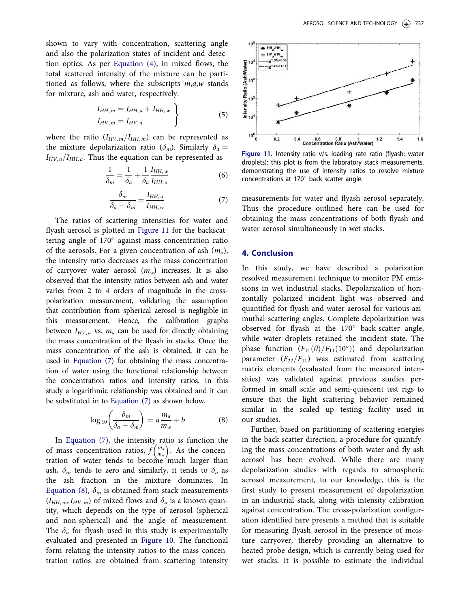shown to vary with concentration, scattering angle and also the polarization states of incident and detection optics. As per Equation (4), in mixed flows, the total scattered intensity of the mixture can be partitioned as follows, where the subscripts  $m,a,w$  stands for mixture, ash and water, respectively.

$$
I_{HH,m} = I_{HH,a} + I_{HH,w} \}
$$
  
\n
$$
I_{HV,m} = I_{HV,a}
$$
\n(5)

where the ratio  $(I_{HV,m}/I_{HH,m})$  can be represented as the mixture depolarization ratio ( $\delta_m$ ). Similarly  $\delta_a =$  $I_{HV, a}/I_{HH, a}$ . Thus the equation can be represented as

$$
\frac{1}{\delta_m} = \frac{1}{\delta_a} + \frac{1}{\delta_a} \frac{I_{HH,w}}{I_{HH,a}}
$$
(6)

$$
\frac{\delta_m}{\delta_a - \delta_m} = \frac{I_{HH,a}}{I_{HH,w}}
$$
(7)

The ratios of scattering intensities for water and flyash aerosol is plotted in Figure 11 for the backscattering angle of 170° against mass concentration ratio of the aerosols. For a given concentration of ash  $(m_a)$ , the intensity ratio decreases as the mass concentration of carryover water aerosol  $(m_w)$  increases. It is also observed that the intensity ratios between ash and water varies from 2 to 4 orders of magnitude in the crosspolarization measurement, validating the assumption that contribution from spherical aerosol is negligible in this measurement. Hence, the calibration graphs between  $I_{HV,a}$  vs.  $m_a$  can be used for directly obtaining the mass concentration of the flyash in stacks. Once the mass concentration of the ash is obtained, it can be used in Equation (7) for obtaining the mass concentration of water using the functional relationship between the concentration ratios and intensity ratios. In this study a logarithmic relationship was obtained and it can be substituted in to Equation (7) as shown below.

$$
\log_{10}\left(\frac{\delta_m}{\delta_a - \delta_m}\right) = a \frac{m_a}{m_w} + b \tag{8}
$$

In Equation (7), the intensity ratio is function the of mass concentration ratios,  $f\left(\frac{m_a}{m_w}\right)$ . As the concentration of water tends to become much larger than ash,  $\delta_m$  tends to zero and similarly, it tends to  $\delta_a$  as the ash fraction in the mixture dominates. In Equation (8),  $\delta_m$  is obtained from stack measurements  $(I_{HH, m}, I_{HV, m})$  of mixed flows and  $\delta_a$  is a known quantity, which depends on the type of aerosol (spherical and non-spherical) and the angle of measurement. The  $\delta_a$  for flyash used in this study is experimentally evaluated and presented in Figure 10. The functional form relating the intensity ratios to the mass concentration ratios are obtained from scattering intensity



Figure 11. Intensity ratio v/s. loading rate ratio (flyash: water droplets): this plot is from the laboratory stack measurements, demonstrating the use of intensity ratios to resolve mixture concentrations at  $170^\circ$  back scatter angle.

measurements for water and flyash aerosol separately. Thus the procedure outlined here can be used for obtaining the mass concentrations of both flyash and water aerosol simultaneously in wet stacks.

### 4. Conclusion

In this study, we have described a polarization resolved measurement technique to monitor PM emissions in wet industrial stacks. Depolarization of horizontally polarized incident light was observed and quantified for flyash and water aerosol for various azimuthal scattering angles. Complete depolarization was observed for flyash at the  $170^\circ$  back-scatter angle, while water droplets retained the incident state. The phase function  $(F_{11}(\theta)/F_{11}(10^{\circ}))$  and depolarization parameter  $(F_{22}/F_{11})$  was estimated from scattering matrix elements (evaluated from the measured intensities) was validated against previous studies performed in small scale and semi-quiescent test rigs to ensure that the light scattering behavior remained similar in the scaled up testing facility used in our studies.

Further, based on partitioning of scattering energies in the back scatter direction, a procedure for quantifying the mass concentrations of both water and fly ash aerosol has been evolved. While there are many depolarization studies with regards to atmospheric aerosol measurement, to our knowledge, this is the first study to present measurement of depolarization in an industrial stack, along with intensity calibration against concentration. The cross-polarization configuration identified here presents a method that is suitable for measuring flyash aerosol in the presence of moisture carryover, thereby providing an alternative to heated probe design, which is currently being used for wet stacks. It is possible to estimate the individual